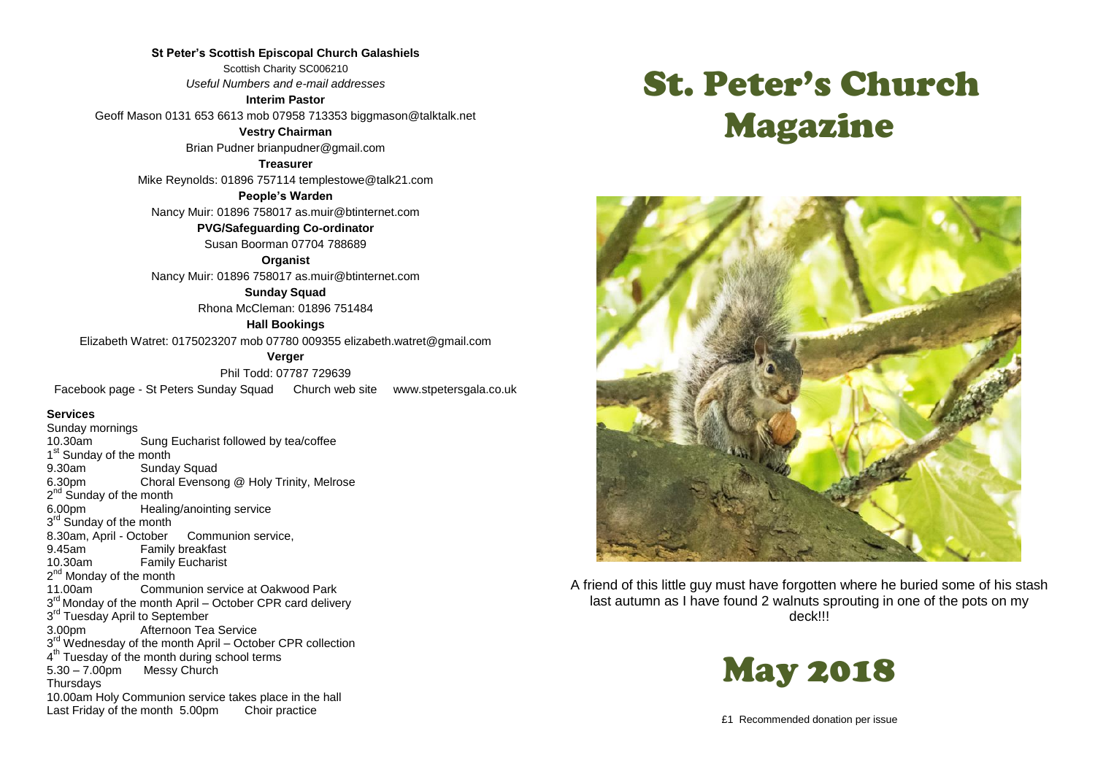**St Peter's Scottish Episcopal Church Galashiels** Scottish Charity SC006210 *Useful Numbers and e-mail addresses*

**Interim Pastor** Geoff Mason 0131 653 6613 mob 07958 713353 biggmason@talktalk.net

> **Vestry Chairman** Brian Pudner brianpudner@gmail.com

**Treasurer** Mike Reynolds: 01896 757114 templestowe@talk21.com

**People's Warden** Nancy Muir: 01896 758017 as.muir@btinternet.com

**PVG/Safeguarding Co-ordinator**

Susan Boorman 07704 788689

**Organist**

Nancy Muir: 01896 758017 as.muir@btinternet.com

**Sunday Squad**

Rhona McCleman: 01896 751484

**Hall Bookings**

Elizabeth Watret: 0175023207 mob 07780 009355 elizabeth.watret@gmail.com

**Verger**

Phil Todd: 07787 729639

Facebook page - St Peters Sunday Squad Church web site www.stpetersgala.co.uk

#### **Services**

Sunday mornings<br>10.30am Sung Eucharist followed by tea/coffee 1<sup>st</sup> Sunday of the month 9.30am Sunday Squad 6.30pm Choral Evensong @ Holy Trinity, Melrose 2<sup>nd</sup> Sunday of the month 6.00pm Healing/anointing service 3<sup>rd</sup> Sunday of the month 8.30am, April - October Communion service, 9.45am Family breakfast 10.30am Family Eucharist 2<sup>nd</sup> Monday of the month 11.00am Communion service at Oakwood Park 3<sup>rd</sup> Monday of the month April – October CPR card delivery 3<sup>rd</sup> Tuesday April to September 3.00pm Afternoon Tea Service 3<sup>rd</sup> Wednesday of the month April – October CPR collection 4<sup>th</sup> Tuesday of the month during school terms 5.30 – 7.00pm Messy Church **Thursdays** 10.00am Holy Communion service takes place in the hall Last Friday of the month 5.00pm Choir practice

# St. Peter's Church Magazine



A friend of this little guy must have forgotten where he buried some of his stash last autumn as I have found 2 walnuts sprouting in one of the pots on my deck!!!



£1 Recommended donation per issue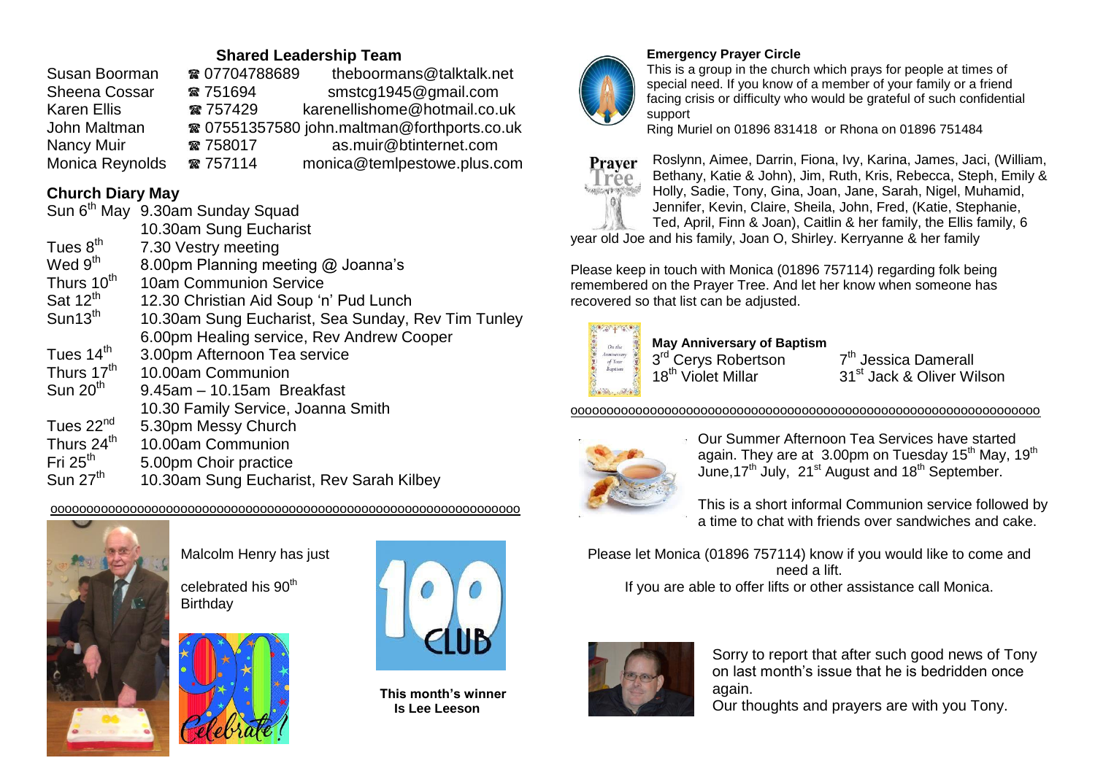## **Shared Leadership Team**

| ☎ 07704788689 | theboormans@talktalk.net                    |
|---------------|---------------------------------------------|
| ☎ 751694      | smstcg1945@gmail.com                        |
| ☎ 757429      | karenellishome@hotmail.co.uk                |
|               | ☎ 07551357580 john.maltman@forthports.co.uk |
| ☎ 758017      | as.muir@btinternet.com                      |
| ☎ 757114      | monica@temlpestowe.plus.com                 |
|               |                                             |

## **Church Diary May**

|                        | Sun 6th May 9.30am Sunday Squad                    |
|------------------------|----------------------------------------------------|
|                        | 10.30am Sung Eucharist                             |
| Tues 8 <sup>th</sup>   | 7.30 Vestry meeting                                |
| Wed 9 <sup>th</sup>    | 8.00pm Planning meeting @ Joanna's                 |
| Thurs 10 <sup>th</sup> | 10am Communion Service                             |
| Sat $12^{th}$          | 12.30 Christian Aid Soup 'n' Pud Lunch             |
| Sun13 <sup>th</sup>    | 10.30am Sung Eucharist, Sea Sunday, Rev Tim Tunley |
|                        | 6.00pm Healing service, Rev Andrew Cooper          |
| Tues 14 <sup>th</sup>  | 3.00pm Afternoon Tea service                       |
| Thurs 17 <sup>th</sup> | 10.00am Communion                                  |
| Sun $20th$             | $9.45$ am $-10.15$ am Breakfast                    |
|                        | 10.30 Family Service, Joanna Smith                 |
| Tues 22 <sup>nd</sup>  | 5.30pm Messy Church                                |
| Thurs 24 <sup>th</sup> | 10.00am Communion                                  |
| Fri $25th$             | 5.00pm Choir practice                              |
| Sun $27th$             | 10.30am Sung Eucharist, Rev Sarah Kilbey           |

#### ooooooooooooooooooooooooooooooooooooooooooooooooooooooooooooooooo



Malcolm Henry has just

celebrated his 90<sup>th</sup> **Birthday** 





 **This month's winner Is Lee Leeson**



## **Emergency Prayer Circle**

This is a group in the church which prays for people at times of special need. If you know of a member of your family or a friend facing crisis or difficulty who would be grateful of such confidential support

Ring Muriel on 01896 831418 or Rhona on 01896 751484



Roslynn, Aimee, Darrin, Fiona, Ivy, Karina, James, Jaci, (William, Bethany, Katie & John), Jim, Ruth, Kris, Rebecca, Steph, Emily & Holly, Sadie, Tony, Gina, Joan, Jane, Sarah, Nigel, Muhamid, Jennifer, Kevin, Claire, Sheila, John, Fred, (Katie, Stephanie, Ted, April, Finn & Joan), Caitlin & her family, the Ellis family, 6

year old Joe and his family, Joan O, Shirley. Kerryanne & her family

Please keep in touch with Monica (01896 757114) regarding folk being remembered on the Prayer Tree. And let her know when someone has recovered so that list can be adjusted.



**May Anniversary of Baptism** 3<sup>rd</sup> Cerys Robertson 7

7<sup>th</sup> Jessica Damerall 18<sup>th</sup> Violet Millar 31<sup>st</sup> Jack & Oliver Wilson

ooooooooooooooooooooooooooooooooooooooooooooooooooooooooooooooooo



Our Summer Afternoon Tea Services have started again. They are at  $3.00$ pm on Tuesday 15<sup>th</sup> May, 19<sup>th</sup> June, 17<sup>th</sup> July, 21<sup>st</sup> August and 18<sup>th</sup> September.

This is a short informal Communion service followed by a time to chat with friends over sandwiches and cake.

Please let Monica (01896 757114) know if you would like to come and need a lift. If you are able to offer lifts or other assistance call Monica.



Sorry to report that after such good news of Tony on last month's issue that he is bedridden once again.

Our thoughts and prayers are with you Tony.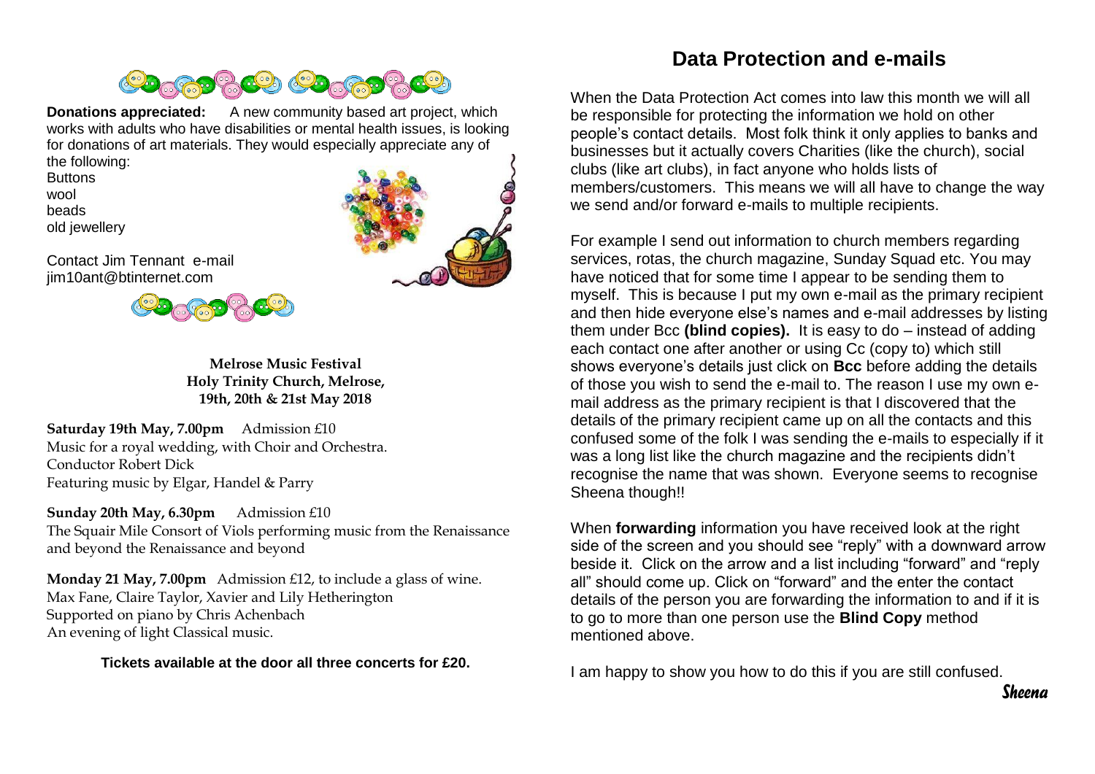

**Donations appreciated:** A new community based art project, which works with adults who have disabilities or mental health issues, is looking for donations of art materials. They would especially appreciate any of the following:

**Buttons** wool beads old jewellery



Contact Jim Tennant e-mail jim10ant@btinternet.com



**Melrose Music Festival Holy Trinity Church, Melrose, 19th, 20th & 21st May 2018**

**Saturday 19th May, 7.00pm** Admission £10 Music for a royal wedding, with Choir and Orchestra. Conductor Robert Dick Featuring music by Elgar, Handel & Parry

**Sunday 20th May, 6.30pm** Admission £10 The Squair Mile Consort of Viols performing music from the Renaissance and beyond the Renaissance and beyond

**Monday 21 May, 7.00pm** Admission £12, to include a glass of wine. Max Fane, Claire Taylor, Xavier and Lily Hetherington Supported on piano by Chris Achenbach An evening of light Classical music.

**Tickets available at the door all three concerts for £20.**

## **Data Protection and e-mails**

When the Data Protection Act comes into law this month we will all be responsible for protecting the information we hold on other people's contact details. Most folk think it only applies to banks and businesses but it actually covers Charities (like the church), social clubs (like art clubs), in fact anyone who holds lists of members/customers. This means we will all have to change the way we send and/or forward e-mails to multiple recipients.

For example I send out information to church members regarding services, rotas, the church magazine, Sunday Squad etc. You may have noticed that for some time I appear to be sending them to myself. This is because I put my own e-mail as the primary recipient and then hide everyone else's names and e-mail addresses by listing them under Bcc **(blind copies).** It is easy to do – instead of adding each contact one after another or using Cc (copy to) which still shows everyone's details just click on **Bcc** before adding the details of those you wish to send the e-mail to. The reason I use my own email address as the primary recipient is that I discovered that the details of the primary recipient came up on all the contacts and this confused some of the folk I was sending the e-mails to especially if it was a long list like the church magazine and the recipients didn't recognise the name that was shown. Everyone seems to recognise Sheena though!!

When **forwarding** information you have received look at the right side of the screen and you should see "reply" with a downward arrow beside it. Click on the arrow and a list including "forward" and "reply all" should come up. Click on "forward" and the enter the contact details of the person you are forwarding the information to and if it is to go to more than one person use the **Blind Copy** method mentioned above.

I am happy to show you how to do this if you are still confused.

*Sheena*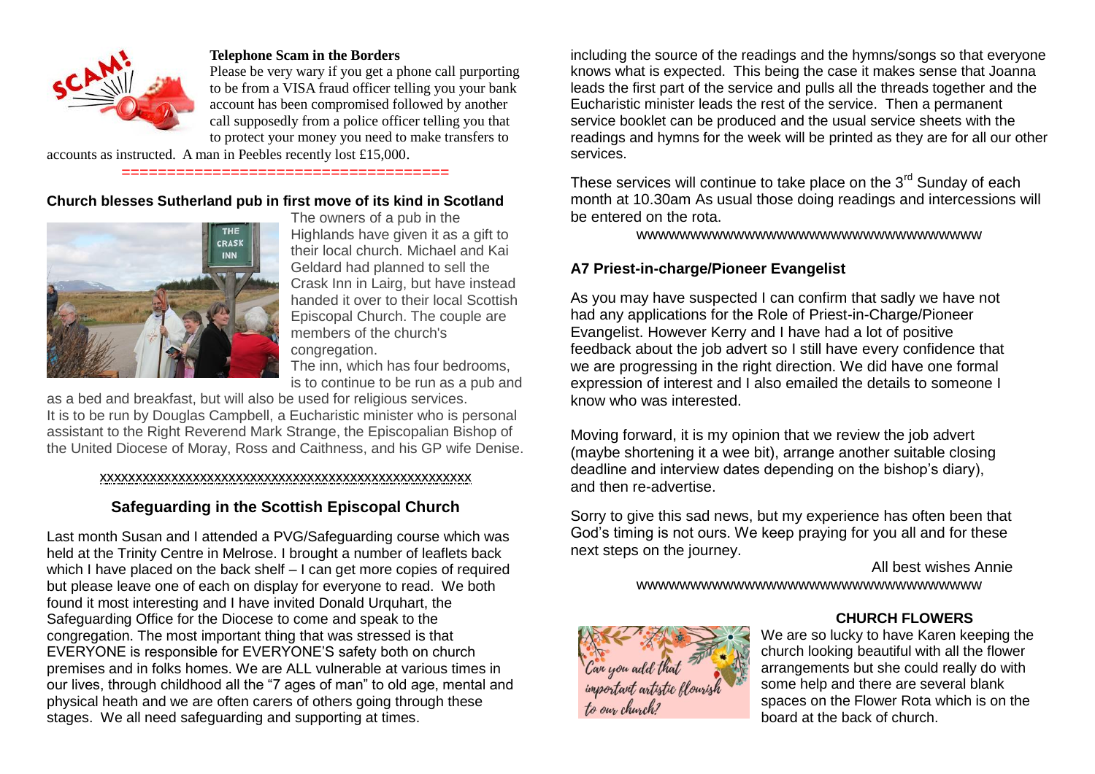

#### **Telephone Scam in the Borders**

Please be very wary if you get a phone call purporting to be from a VISA fraud officer telling you your bank account has been compromised followed by another call supposedly from a police officer telling you that to protect your money you need to make transfers to

accounts as instructed. A man in Peebles recently lost £15,000.

## ====================================

#### **Church blesses Sutherland pub in first move of its kind in Scotland**



The owners of a pub in the Highlands have given it as a gift to their local church. Michael and Kai Geldard had planned to sell the Crask Inn in Lairg, but have instead handed it over to their local Scottish Episcopal Church. The couple are members of the church's congregation.

The inn, which has four bedrooms, is to continue to be run as a pub and

as a bed and breakfast, but will also be used for religious services. It is to be run by Douglas Campbell, a Eucharistic minister who is personal assistant to the Right Reverend Mark Strange, the Episcopalian Bishop of the United Diocese of Moray, Ross and Caithness, and his GP wife Denise.

#### xxxxxxxxxxxxxxxxxxxxxxxxxxxxxxxxxxxxxxxxxxxxxxxxxxxx

#### **Safeguarding in the Scottish Episcopal Church**

Last month Susan and I attended a PVG/Safeguarding course which was held at the Trinity Centre in Melrose. I brought a number of leaflets back which I have placed on the back shelf – I can get more copies of required but please leave one of each on display for everyone to read. We both found it most interesting and I have invited Donald Urquhart, the Safeguarding Office for the Diocese to come and speak to the congregation. The most important thing that was stressed is that EVERYONE is responsible for EVERYONE'S safety both on church premises and in folks homes. We are ALL vulnerable at various times in our lives, through childhood all the "7 ages of man" to old age, mental and physical heath and we are often carers of others going through these stages. We all need safeguarding and supporting at times.

including the source of the readings and the hymns/songs so that everyone knows what is expected. This being the case it makes sense that Joanna leads the first part of the service and pulls all the threads together and the Eucharistic minister leads the rest of the service. Then a permanent service booklet can be produced and the usual service sheets with the readings and hymns for the week will be printed as they are for all our other services.

These services will continue to take place on the  $3<sup>rd</sup>$  Sunday of each month at 10.30am As usual those doing readings and intercessions will be entered on the rota.

wwwwwwwwwwwwwwwwwwwwwwwwwwwwwwww

#### **A7 Priest-in-charge/Pioneer Evangelist**

As you may have suspected I can confirm that sadly we have not had any applications for the Role of Priest-in-Charge/Pioneer Evangelist. However Kerry and I have had a lot of positive feedback about the job advert so I still have every confidence that we are progressing in the right direction. We did have one formal expression of interest and I also emailed the details to someone I know who was interested.

Moving forward, it is my opinion that we review the job advert (maybe shortening it a wee bit), arrange another suitable closing deadline and interview dates depending on the bishop's diary), and then re-advertise.

Sorry to give this sad news, but my experience has often been that God's timing is not ours. We keep praying for you all and for these next steps on the journey.

> All best wishes Annie wwwwwwwwwwwwwwwwwwwwwwwwwwwwwwww



#### **CHURCH FLOWERS**

We are so lucky to have Karen keeping the church looking beautiful with all the flower arrangements but she could really do with some help and there are several blank spaces on the Flower Rota which is on the board at the back of church.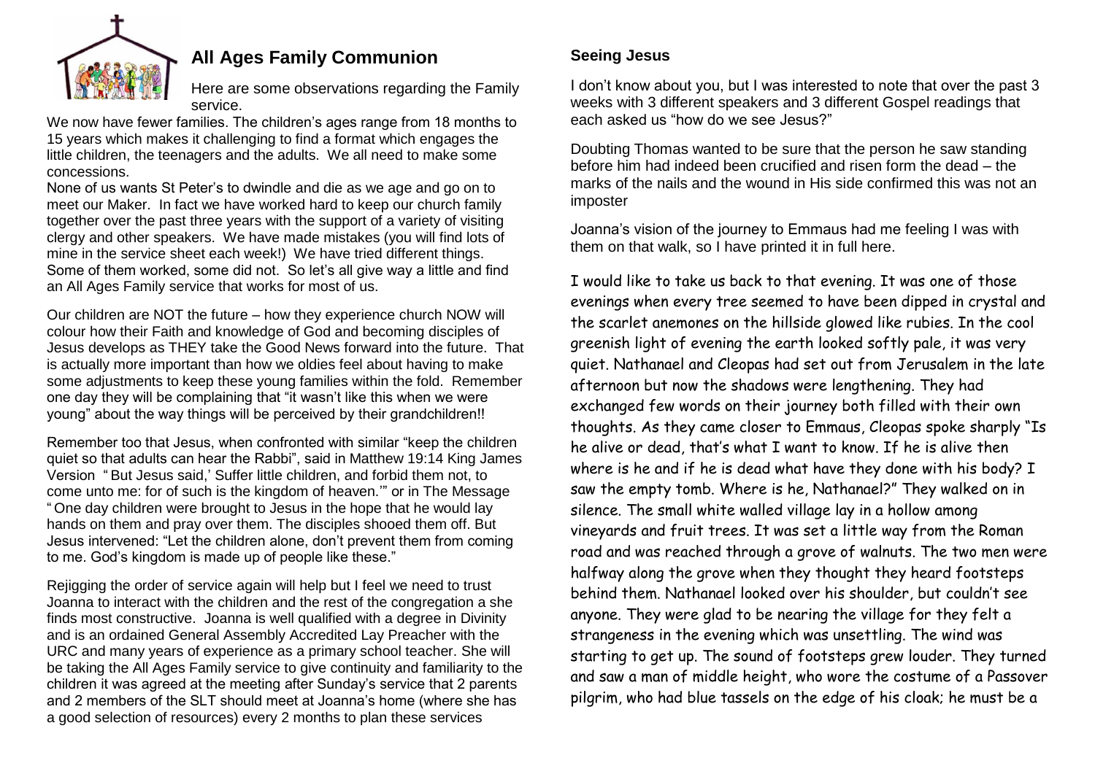

## **All Ages Family Communion**

Here are some observations regarding the Family service.

We now have fewer families. The children's ages range from 18 months to 15 years which makes it challenging to find a format which engages the little children, the teenagers and the adults. We all need to make some concessions.

None of us wants St Peter's to dwindle and die as we age and go on to meet our Maker. In fact we have worked hard to keep our church family together over the past three years with the support of a variety of visiting clergy and other speakers. We have made mistakes (you will find lots of mine in the service sheet each week!) We have tried different things. Some of them worked, some did not. So let's all give way a little and find an All Ages Family service that works for most of us.

Our children are NOT the future – how they experience church NOW will colour how their Faith and knowledge of God and becoming disciples of Jesus develops as THEY take the Good News forward into the future. That is actually more important than how we oldies feel about having to make some adjustments to keep these young families within the fold. Remember one day they will be complaining that "it wasn't like this when we were young" about the way things will be perceived by their grandchildren!!

Remember too that Jesus, when confronted with similar "keep the children quiet so that adults can hear the Rabbi", said in Matthew 19:14 King James Version " But Jesus said,' Suffer little children, and forbid them not, to come unto me: for of such is the kingdom of heaven.'" or in The Message " One day children were brought to Jesus in the hope that he would lay hands on them and pray over them. The disciples shooed them off. But Jesus intervened: "Let the children alone, don't prevent them from coming to me. God's kingdom is made up of people like these."

Rejigging the order of service again will help but I feel we need to trust Joanna to interact with the children and the rest of the congregation a she finds most constructive. Joanna is well qualified with a degree in Divinity and is an ordained General Assembly Accredited Lay Preacher with the URC and many years of experience as a primary school teacher. She will be taking the All Ages Family service to give continuity and familiarity to the children it was agreed at the meeting after Sunday's service that 2 parents and 2 members of the SLT should meet at Joanna's home (where she has a good selection of resources) every 2 months to plan these services

## **Seeing Jesus**

I don't know about you, but I was interested to note that over the past 3 weeks with 3 different speakers and 3 different Gospel readings that each asked us "how do we see Jesus?"

Doubting Thomas wanted to be sure that the person he saw standing before him had indeed been crucified and risen form the dead – the marks of the nails and the wound in His side confirmed this was not an imposter

Joanna's vision of the journey to Emmaus had me feeling I was with them on that walk, so I have printed it in full here.

I would like to take us back to that evening. It was one of those evenings when every tree seemed to have been dipped in crystal and the scarlet anemones on the hillside glowed like rubies. In the cool greenish light of evening the earth looked softly pale, it was very quiet. Nathanael and Cleopas had set out from Jerusalem in the late afternoon but now the shadows were lengthening. They had exchanged few words on their journey both filled with their own thoughts. As they came closer to Emmaus, Cleopas spoke sharply "Is he alive or dead, that's what I want to know. If he is alive then where is he and if he is dead what have they done with his body? I saw the empty tomb. Where is he, Nathanael?" They walked on in silence. The small white walled village lay in a hollow among vineyards and fruit trees. It was set a little way from the Roman road and was reached through a grove of walnuts. The two men were halfway along the grove when they thought they heard footsteps behind them. Nathanael looked over his shoulder, but couldn't see anyone. They were glad to be nearing the village for they felt a strangeness in the evening which was unsettling. The wind was starting to get up. The sound of footsteps grew louder. They turned and saw a man of middle height, who wore the costume of a Passover pilgrim, who had blue tassels on the edge of his cloak; he must be a